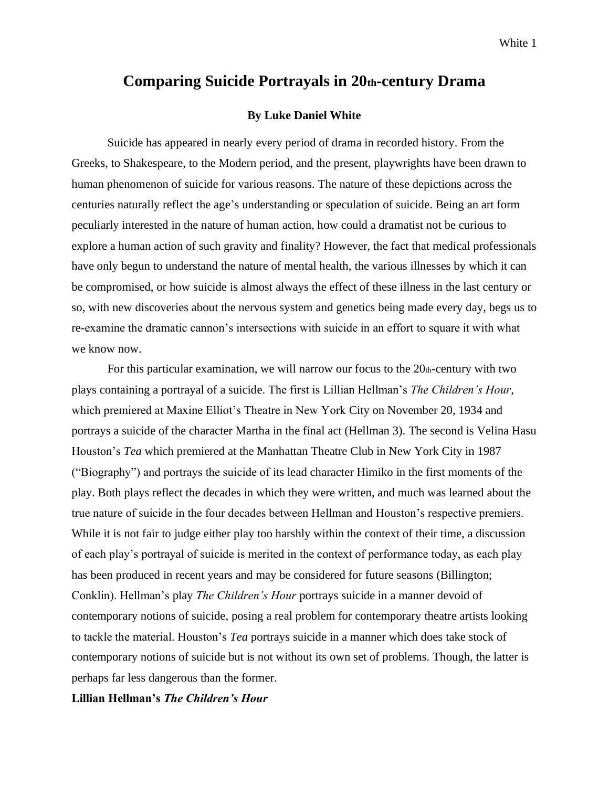# **Comparing Suicide Portrayals in 20th-century Drama**

## **By Luke Daniel White**

Suicide has appeared in nearly every period of drama in recorded history. From the Greeks, to Shakespeare, to the Modern period, and the present, playwrights have been drawn to human phenomenon of suicide for various reasons. The nature of these depictions across the centuries naturally reflect the age's understanding or speculation of suicide. Being an art form peculiarly interested in the nature of human action, how could a dramatist not be curious to explore a human action of such gravity and finality? However, the fact that medical professionals have only begun to understand the nature of mental health, the various illnesses by which it can be compromised, or how suicide is almost always the effect of these illness in the last century or so, with new discoveries about the nervous system and genetics being made every day, begs us to re-examine the dramatic cannon's intersections with suicide in an effort to square it with what we know now.

For this particular examination, we will narrow our focus to the  $20$ th-century with two plays containing a portrayal of a suicide. The first is Lillian Hellman's *The Children's Hour,* which premiered at Maxine Elliot's Theatre in New York City on November 20, 1934 and portrays a suicide of the character Martha in the final act (Hellman 3). The second is Velina Hasu Houston's *Tea* which premiered at the Manhattan Theatre Club in New York City in 1987 ("Biography") and portrays the suicide of its lead character Himiko in the first moments of the play. Both plays reflect the decades in which they were written, and much was learned about the true nature of suicide in the four decades between Hellman and Houston's respective premiers. While it is not fair to judge either play too harshly within the context of their time, a discussion of each play's portrayal of suicide is merited in the context of performance today, as each play has been produced in recent years and may be considered for future seasons (Billington; Conklin). Hellman's play *The Children's Hour* portrays suicide in a manner devoid of contemporary notions of suicide, posing a real problem for contemporary theatre artists looking to tackle the material. Houston's *Tea* portrays suicide in a manner which does take stock of contemporary notions of suicide but is not without its own set of problems. Though, the latter is perhaps far less dangerous than the former.

**Lillian Hellman's** *The Children's Hour*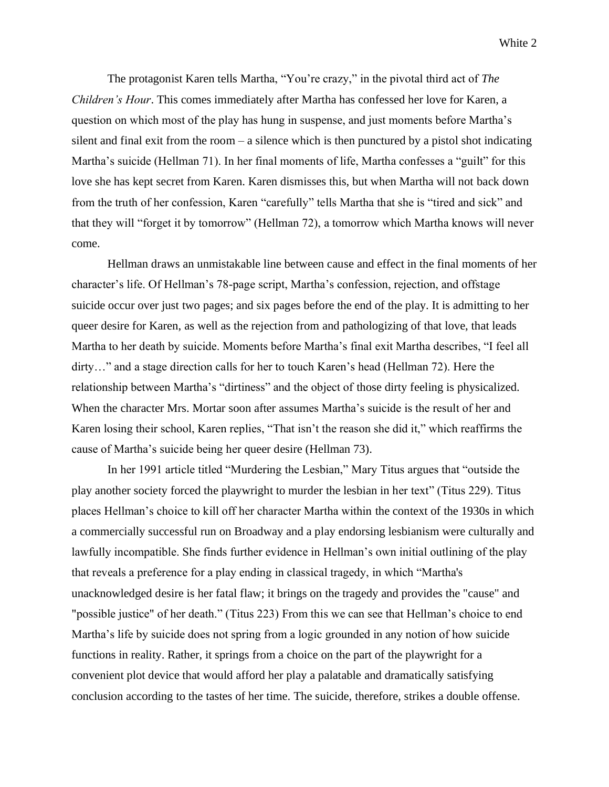The protagonist Karen tells Martha, "You're crazy," in the pivotal third act of *The Children's Hour*. This comes immediately after Martha has confessed her love for Karen, a question on which most of the play has hung in suspense, and just moments before Martha's silent and final exit from the room  $-$  a silence which is then punctured by a pistol shot indicating Martha's suicide (Hellman 71). In her final moments of life, Martha confesses a "guilt" for this love she has kept secret from Karen. Karen dismisses this, but when Martha will not back down from the truth of her confession, Karen "carefully" tells Martha that she is "tired and sick" and that they will "forget it by tomorrow" (Hellman 72), a tomorrow which Martha knows will never come.

Hellman draws an unmistakable line between cause and effect in the final moments of her character's life. Of Hellman's 78-page script, Martha's confession, rejection, and offstage suicide occur over just two pages; and six pages before the end of the play. It is admitting to her queer desire for Karen, as well as the rejection from and pathologizing of that love, that leads Martha to her death by suicide. Moments before Martha's final exit Martha describes, "I feel all dirty…" and a stage direction calls for her to touch Karen's head (Hellman 72). Here the relationship between Martha's "dirtiness" and the object of those dirty feeling is physicalized. When the character Mrs. Mortar soon after assumes Martha's suicide is the result of her and Karen losing their school, Karen replies, "That isn't the reason she did it," which reaffirms the cause of Martha's suicide being her queer desire (Hellman 73).

In her 1991 article titled "Murdering the Lesbian," Mary Titus argues that "outside the play another society forced the playwright to murder the lesbian in her text" (Titus 229). Titus places Hellman's choice to kill off her character Martha within the context of the 1930s in which a commercially successful run on Broadway and a play endorsing lesbianism were culturally and lawfully incompatible. She finds further evidence in Hellman's own initial outlining of the play that reveals a preference for a play ending in classical tragedy, in which "Martha's unacknowledged desire is her fatal flaw; it brings on the tragedy and provides the "cause" and "possible justice" of her death." (Titus 223) From this we can see that Hellman's choice to end Martha's life by suicide does not spring from a logic grounded in any notion of how suicide functions in reality. Rather, it springs from a choice on the part of the playwright for a convenient plot device that would afford her play a palatable and dramatically satisfying conclusion according to the tastes of her time. The suicide, therefore, strikes a double offense.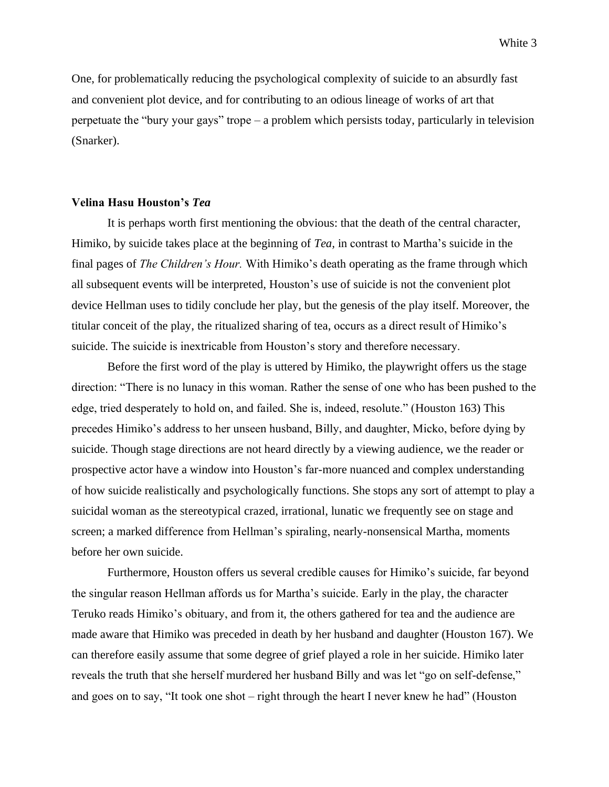One, for problematically reducing the psychological complexity of suicide to an absurdly fast and convenient plot device, and for contributing to an odious lineage of works of art that perpetuate the "bury your gays" trope – a problem which persists today, particularly in television (Snarker).

### **Velina Hasu Houston's** *Tea*

It is perhaps worth first mentioning the obvious: that the death of the central character, Himiko, by suicide takes place at the beginning of *Tea,* in contrast to Martha's suicide in the final pages of *The Children's Hour.* With Himiko's death operating as the frame through which all subsequent events will be interpreted, Houston's use of suicide is not the convenient plot device Hellman uses to tidily conclude her play, but the genesis of the play itself. Moreover, the titular conceit of the play, the ritualized sharing of tea, occurs as a direct result of Himiko's suicide. The suicide is inextricable from Houston's story and therefore necessary.

Before the first word of the play is uttered by Himiko, the playwright offers us the stage direction: "There is no lunacy in this woman. Rather the sense of one who has been pushed to the edge, tried desperately to hold on, and failed. She is, indeed, resolute." (Houston 163) This precedes Himiko's address to her unseen husband, Billy, and daughter, Micko, before dying by suicide. Though stage directions are not heard directly by a viewing audience, we the reader or prospective actor have a window into Houston's far-more nuanced and complex understanding of how suicide realistically and psychologically functions. She stops any sort of attempt to play a suicidal woman as the stereotypical crazed, irrational, lunatic we frequently see on stage and screen; a marked difference from Hellman's spiraling, nearly-nonsensical Martha, moments before her own suicide.

Furthermore, Houston offers us several credible causes for Himiko's suicide, far beyond the singular reason Hellman affords us for Martha's suicide. Early in the play, the character Teruko reads Himiko's obituary, and from it, the others gathered for tea and the audience are made aware that Himiko was preceded in death by her husband and daughter (Houston 167). We can therefore easily assume that some degree of grief played a role in her suicide. Himiko later reveals the truth that she herself murdered her husband Billy and was let "go on self-defense," and goes on to say, "It took one shot – right through the heart I never knew he had" (Houston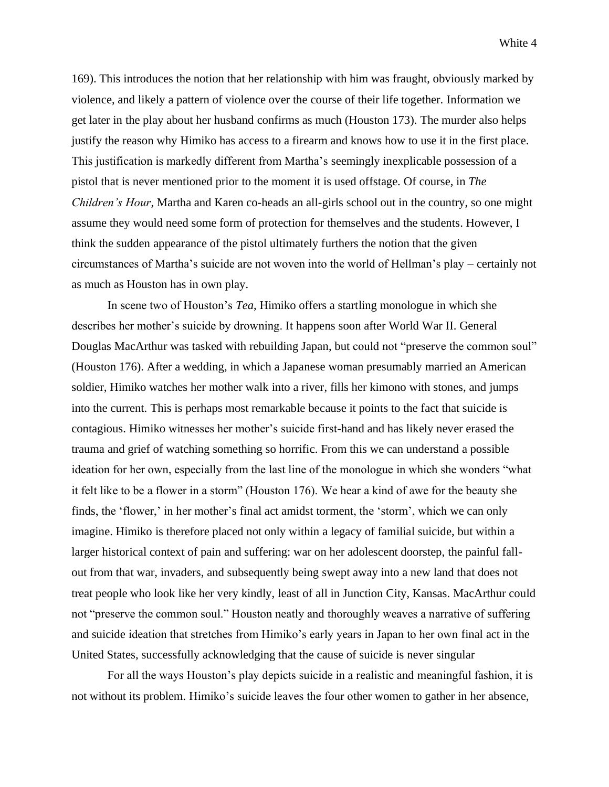169). This introduces the notion that her relationship with him was fraught, obviously marked by violence, and likely a pattern of violence over the course of their life together. Information we get later in the play about her husband confirms as much (Houston 173). The murder also helps justify the reason why Himiko has access to a firearm and knows how to use it in the first place. This justification is markedly different from Martha's seemingly inexplicable possession of a pistol that is never mentioned prior to the moment it is used offstage. Of course, in *The Children's Hour,* Martha and Karen co-heads an all-girls school out in the country, so one might assume they would need some form of protection for themselves and the students. However, I think the sudden appearance of the pistol ultimately furthers the notion that the given circumstances of Martha's suicide are not woven into the world of Hellman's play – certainly not as much as Houston has in own play.

In scene two of Houston's *Tea*, Himiko offers a startling monologue in which she describes her mother's suicide by drowning. It happens soon after World War II. General Douglas MacArthur was tasked with rebuilding Japan, but could not "preserve the common soul" (Houston 176). After a wedding, in which a Japanese woman presumably married an American soldier, Himiko watches her mother walk into a river, fills her kimono with stones, and jumps into the current. This is perhaps most remarkable because it points to the fact that suicide is contagious. Himiko witnesses her mother's suicide first-hand and has likely never erased the trauma and grief of watching something so horrific. From this we can understand a possible ideation for her own, especially from the last line of the monologue in which she wonders "what it felt like to be a flower in a storm" (Houston 176). We hear a kind of awe for the beauty she finds, the 'flower,' in her mother's final act amidst torment, the 'storm', which we can only imagine. Himiko is therefore placed not only within a legacy of familial suicide, but within a larger historical context of pain and suffering: war on her adolescent doorstep, the painful fallout from that war, invaders, and subsequently being swept away into a new land that does not treat people who look like her very kindly, least of all in Junction City, Kansas. MacArthur could not "preserve the common soul." Houston neatly and thoroughly weaves a narrative of suffering and suicide ideation that stretches from Himiko's early years in Japan to her own final act in the United States, successfully acknowledging that the cause of suicide is never singular

For all the ways Houston's play depicts suicide in a realistic and meaningful fashion, it is not without its problem. Himiko's suicide leaves the four other women to gather in her absence,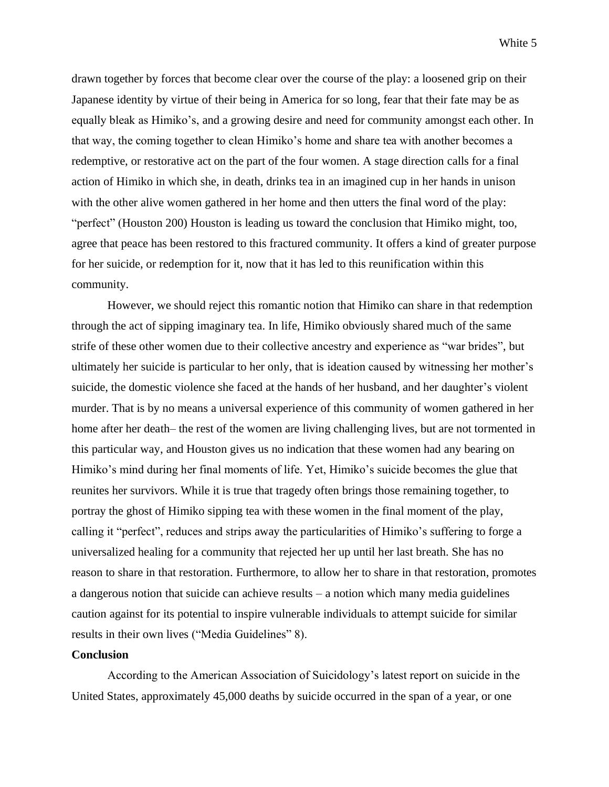drawn together by forces that become clear over the course of the play: a loosened grip on their Japanese identity by virtue of their being in America for so long, fear that their fate may be as equally bleak as Himiko's, and a growing desire and need for community amongst each other. In that way, the coming together to clean Himiko's home and share tea with another becomes a redemptive, or restorative act on the part of the four women. A stage direction calls for a final action of Himiko in which she, in death, drinks tea in an imagined cup in her hands in unison with the other alive women gathered in her home and then utters the final word of the play: "perfect" (Houston 200) Houston is leading us toward the conclusion that Himiko might, too, agree that peace has been restored to this fractured community. It offers a kind of greater purpose for her suicide, or redemption for it, now that it has led to this reunification within this community.

However, we should reject this romantic notion that Himiko can share in that redemption through the act of sipping imaginary tea. In life, Himiko obviously shared much of the same strife of these other women due to their collective ancestry and experience as "war brides", but ultimately her suicide is particular to her only, that is ideation caused by witnessing her mother's suicide, the domestic violence she faced at the hands of her husband, and her daughter's violent murder. That is by no means a universal experience of this community of women gathered in her home after her death– the rest of the women are living challenging lives, but are not tormented in this particular way, and Houston gives us no indication that these women had any bearing on Himiko's mind during her final moments of life. Yet, Himiko's suicide becomes the glue that reunites her survivors. While it is true that tragedy often brings those remaining together, to portray the ghost of Himiko sipping tea with these women in the final moment of the play, calling it "perfect", reduces and strips away the particularities of Himiko's suffering to forge a universalized healing for a community that rejected her up until her last breath. She has no reason to share in that restoration. Furthermore, to allow her to share in that restoration, promotes a dangerous notion that suicide can achieve results – a notion which many media guidelines caution against for its potential to inspire vulnerable individuals to attempt suicide for similar results in their own lives ("Media Guidelines" 8).

### **Conclusion**

According to the American Association of Suicidology's latest report on suicide in the United States, approximately 45,000 deaths by suicide occurred in the span of a year, or one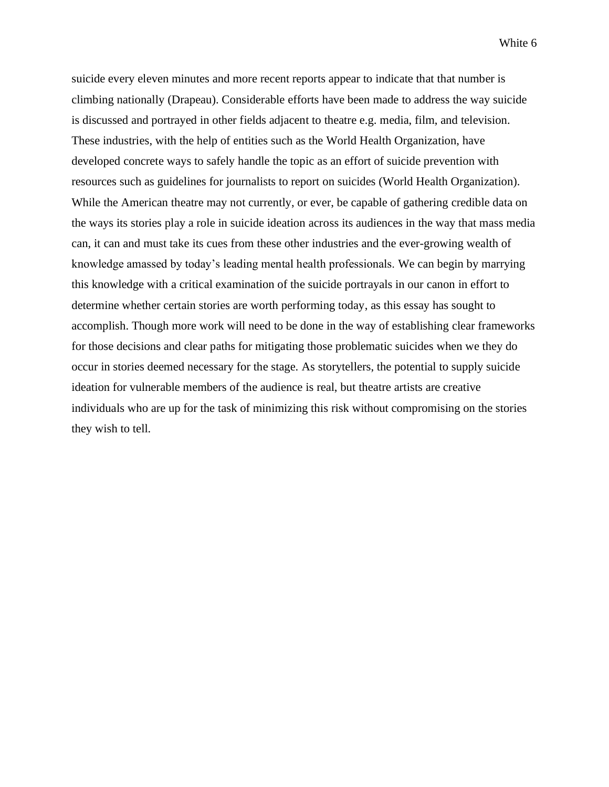White 6

suicide every eleven minutes and more recent reports appear to indicate that that number is climbing nationally (Drapeau). Considerable efforts have been made to address the way suicide is discussed and portrayed in other fields adjacent to theatre e.g. media, film, and television. These industries, with the help of entities such as the World Health Organization, have developed concrete ways to safely handle the topic as an effort of suicide prevention with resources such as guidelines for journalists to report on suicides (World Health Organization). While the American theatre may not currently, or ever, be capable of gathering credible data on the ways its stories play a role in suicide ideation across its audiences in the way that mass media can, it can and must take its cues from these other industries and the ever-growing wealth of knowledge amassed by today's leading mental health professionals. We can begin by marrying this knowledge with a critical examination of the suicide portrayals in our canon in effort to determine whether certain stories are worth performing today, as this essay has sought to accomplish. Though more work will need to be done in the way of establishing clear frameworks for those decisions and clear paths for mitigating those problematic suicides when we they do occur in stories deemed necessary for the stage. As storytellers, the potential to supply suicide ideation for vulnerable members of the audience is real, but theatre artists are creative individuals who are up for the task of minimizing this risk without compromising on the stories they wish to tell.